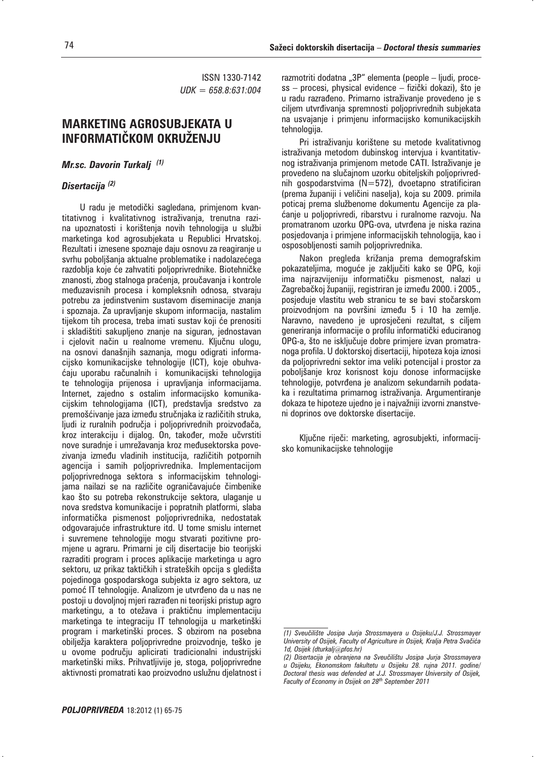ISSN 1330-7142 *UDK = 658.8:631:004*

# **MARKETING AGROSUBJEKATA U INFORMATI^KOM OKRU@ENJU**

### *Mr.sc. Davorin Turkalj (1)*

## *Disertacija (2)*

U radu je metodički sagledana, primjenom kvantitativnog i kvalitativnog istraživanja, trenutna razina upoznatosti i korištenja novih tehnologija u službi marketinga kod agrosubjekata u Republici Hrvatskoj. Rezultati i iznesene spoznaje daju osnovu za reagiranje u svrhu poboljšanja aktualne problematike i nadolazećega razdoblja koje će zahvatiti poljoprivrednike. Biotehničke znanosti, zbog stalnoga praćenja, proučavanja i kontrole međuzavisnih procesa i kompleksnih odnosa, stvaraju potrebu za jedinstvenim sustavom diseminacije znanja i spoznaja. Za upravljanje skupom informacija, nastalim tijekom tih procesa, treba imati sustav koji će prenositi i skladištiti sakupljeno znanje na siguran, jednostavan i cjelovit način u realnome vremenu. Ključnu ulogu, na osnovi današnjih saznanja, mogu odigrati informacijsko komunikacijske tehnologije (ICT), koje obuhva ćaju uporabu računalnih i komunikacijski tehnologija te tehnologija prijenosa i upravljanja informacijama. Internet, zajedno s ostalim informacijsko komunikacijskim tehnologijama (ICT), predstavlja sredstvo za premošćivanje jaza između stručnjaka iz različitih struka, ljudi iz ruralnih područja i poljoprivrednih proizvođača, kroz interakciju i dijalog. On, također, može učvrstiti nove suradnje i umrežavanja kroz međusektorska povezivanja između vladinih institucija, različitih potpornih agencija i samih poljoprivrednika. Implementacijom poljoprivrednoga sektora s informacijskim tehnologijama nailazi se na različite ograničavajuće čimbenike kao što su potreba rekonstrukcije sektora, ulaganje u nova sredstva komunikacije i popratnih platformi, slaba informatička pismenost poljoprivrednika, nedostatak odgovarajuće infrastrukture itd. U tome smislu internet i suvremene tehnologije mogu stvarati pozitivne promjene u agraru. Primarni je cilj disertacije bio teorijski razraditi program i proces aplikacije marketinga u agro sektoru, uz prikaz taktičkih i strateških opcija s gledišta pojedinoga gospodarskoga subjekta iz agro sektora, uz pomoć IT tehnologije. Analizom je utvrđeno da u nas ne postoji u dovoljnoj mjeri razraen ni teorijski pristup agro marketingu, a to otežava i praktičnu implementaciju marketinga te integraciju IT tehnologija u marketinški program i marketinški proces. S obzirom na posebna obilježja karaktera poljoprivredne proizvodnje, teško je u ovome području aplicirati tradicionalni industrijski marketinški miks. Prihvatljivije je, stoga, poljoprivredne aktivnosti promatrati kao proizvodno uslužnu djelatnost i

razmotriti dodatna "3P" elementa (people – ljudi, proce $ss -$  procesi, physical evidence – fizički dokazi), što je u radu razrađeno. Primarno istraživanie provedeno je s ciljem utvrđivanja spremnosti poljoprivrednih subjekata na usvajanje i primjenu informacijsko komunikacijskih tehnologija.

Pri istraživanju korištene su metode kvalitativnog istraživanja metodom dubinskog intervjua i kvantitativnog istraživanja primjenom metode CATI. Istraživanje je provedeno na slučajnom uzorku obiteljskih poljoprivrednih gospodarstvima (N=572), dvoetapno stratificiran (prema županiji i veličini naselja), koja su 2009. primila poticaj prema službenome dokumentu Agencije za pla anje u poljoprivredi, ribarstvu i ruralnome razvoju. Na promatranom uzorku OPG-ova, utvrđena je niska razina posjedovanja i primjene informacijskih tehnologija, kao i osposobljenosti samih poljoprivrednika.

Nakon pregleda križanja prema demografskim pokazateljima, moguće je zaključiti kako se OPG, koji ima najrazvijeniju informatičku pismenost, nalazi u Zagrebačkoj županiji, registriran je između 2000. i 2005., posjeduje vlastitu web stranicu te se bavi stočarskom proizvodnjom na površini između 5 i 10 ha zemlje. Naravno, navedeno je uprosječeni rezultat, s ciljem generiranja informacije o profilu informatički educiranog OPG-a, što ne isključuje dobre primjere izvan promatranoga profila. U doktorskoj disertaciji, hipoteza koja iznosi da poljoprivredni sektor ima veliki potencijal i prostor za poboljšanje kroz korisnost koju donose informacijske tehnologije, potvrđena je analizom sekundarnih podataka i rezultatima primarnog istraživanja. Argumentiranje dokaza te hipoteze ujedno je i najvažniji izvorni znanstveni doprinos ove doktorske disertacije.

Ključne riječi: marketing, agrosubjekti, informacijsko komunikacijske tehnologije

*<sup>(1)</sup> Sveu~ili{te Josipa Jurja Strossmayera u Osijeku/J.J. Strossmayer*  University of Osijek, Faculty of Agriculture in Osijek, Kralja Petra Svačića *1d, Osijek (dturkalj@pfos.hr)*

*<sup>(2)</sup> Disertacija je obranjena na Sveu~ili{tu Josipa Jurja Strossmayera u Osijeku, Ekonomskom fakultetu u Osijeku 28. rujna 2011. godine/ Doctoral thesis was defended at J.J. Strossmayer University of Osijek, Faculty of Economy in Osijek on 28th September 2011*